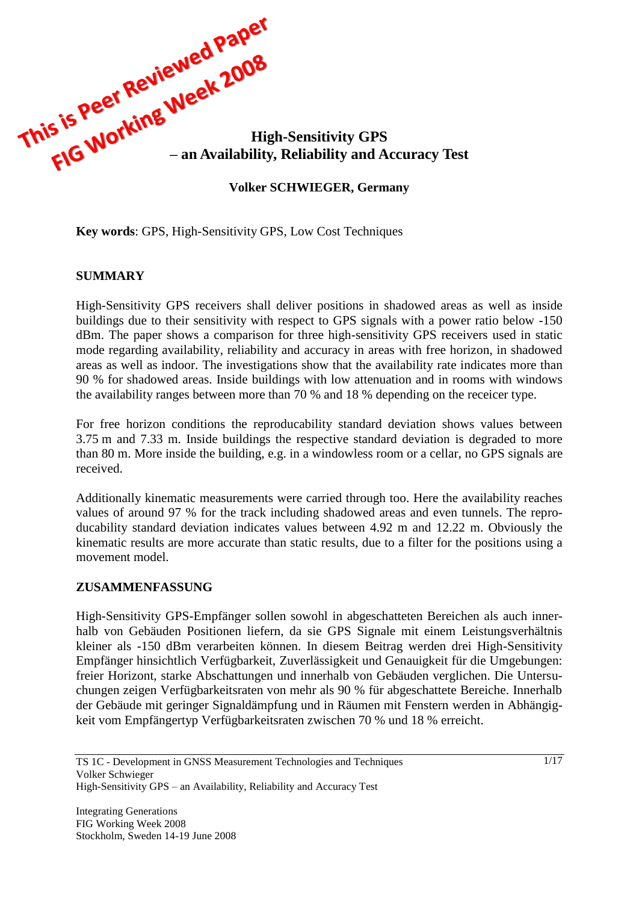

**Key words**: GPS, High-Sensitivity GPS, Low Cost Techniques

#### **SUMMARY**

High-Sensitivity GPS receivers shall deliver positions in shadowed areas as well as inside buildings due to their sensitivity with respect to GPS signals with a power ratio below -150 dBm. The paper shows a comparison for three high-sensitivity GPS receivers used in static mode regarding availability, reliability and accuracy in areas with free horizon, in shadowed areas as well as indoor. The investigations show that the availability rate indicates more than 90 % for shadowed areas. Inside buildings with low attenuation and in rooms with windows the availability ranges between more than 70 % and 18 % depending on the receicer type.

For free horizon conditions the reproducability standard deviation shows values between 3.75 m and 7.33 m. Inside buildings the respective standard deviation is degraded to more than 80 m. More inside the building, e.g. in a windowless room or a cellar, no GPS signals are received.

Additionally kinematic measurements were carried through too. Here the availability reaches values of around 97 % for the track including shadowed areas and even tunnels. The reproducability standard deviation indicates values between 4.92 m and 12.22 m. Obviously the kinematic results are more accurate than static results, due to a filter for the positions using a movement model.

#### **ZUSAMMENFASSUNG**

High-Sensitivity GPS-Empfänger sollen sowohl in abgeschatteten Bereichen als auch innerhalb von Gebäuden Positionen liefern, da sie GPS Signale mit einem Leistungsverhältnis kleiner als -150 dBm verarbeiten können. In diesem Beitrag werden drei High-Sensitivity Empfänger hinsichtlich Verfügbarkeit, Zuverlässigkeit und Genauigkeit für die Umgebungen: freier Horizont, starke Abschattungen und innerhalb von Gebäuden verglichen. Die Untersuchungen zeigen Verfügbarkeitsraten von mehr als 90 % für abgeschattete Bereiche. Innerhalb der Gebäude mit geringer Signaldämpfung und in Räumen mit Fenstern werden in Abhängigkeit vom Empfängertyp Verfügbarkeitsraten zwischen 70 % und 18 % erreicht.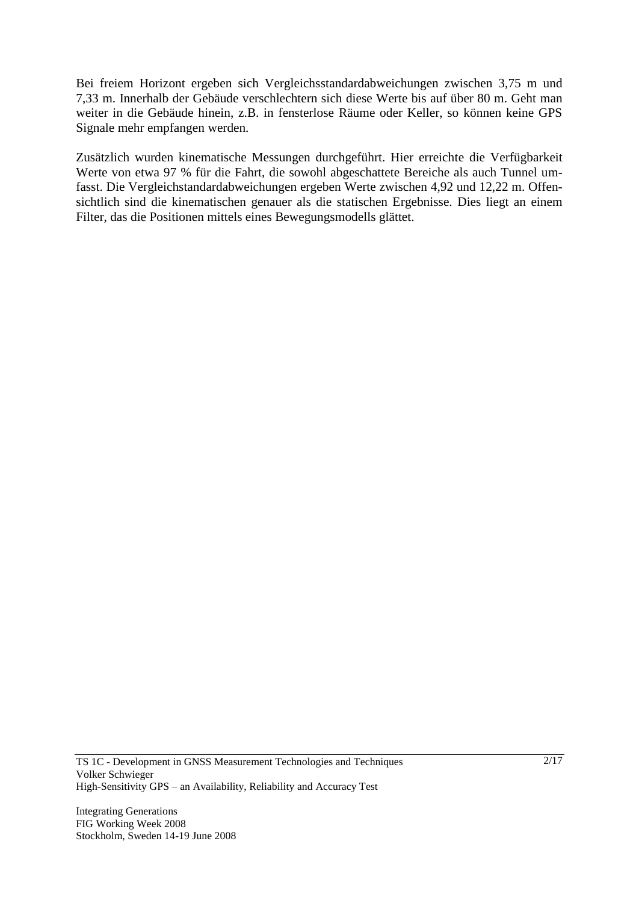Bei freiem Horizont ergeben sich Vergleichsstandardabweichungen zwischen 3,75 m und 7,33 m. Innerhalb der Gebäude verschlechtern sich diese Werte bis auf über 80 m. Geht man weiter in die Gebäude hinein, z.B. in fensterlose Räume oder Keller, so können keine GPS Signale mehr empfangen werden.

Zusätzlich wurden kinematische Messungen durchgeführt. Hier erreichte die Verfügbarkeit Werte von etwa 97 % für die Fahrt, die sowohl abgeschattete Bereiche als auch Tunnel umfasst. Die Vergleichstandardabweichungen ergeben Werte zwischen 4,92 und 12,22 m. Offensichtlich sind die kinematischen genauer als die statischen Ergebnisse. Dies liegt an einem Filter, das die Positionen mittels eines Bewegungsmodells glättet.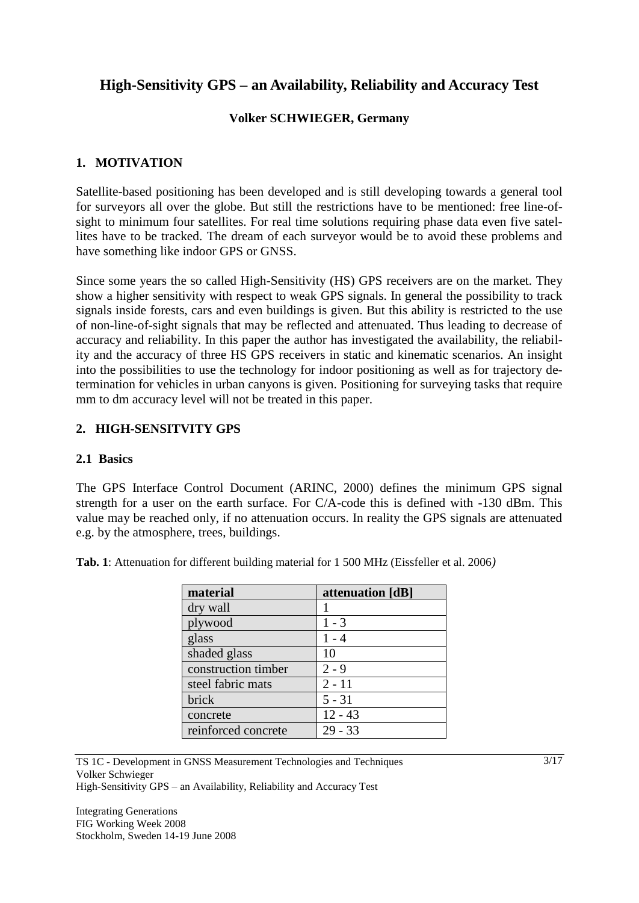# **High-Sensitivity GPS – an Availability, Reliability and Accuracy Test**

# **Volker SCHWIEGER, Germany**

#### **1. MOTIVATION**

Satellite-based positioning has been developed and is still developing towards a general tool for surveyors all over the globe. But still the restrictions have to be mentioned: free line-ofsight to minimum four satellites. For real time solutions requiring phase data even five satellites have to be tracked. The dream of each surveyor would be to avoid these problems and have something like indoor GPS or GNSS.

Since some years the so called High-Sensitivity (HS) GPS receivers are on the market. They show a higher sensitivity with respect to weak GPS signals. In general the possibility to track signals inside forests, cars and even buildings is given. But this ability is restricted to the use of non-line-of-sight signals that may be reflected and attenuated. Thus leading to decrease of accuracy and reliability. In this paper the author has investigated the availability, the reliability and the accuracy of three HS GPS receivers in static and kinematic scenarios. An insight into the possibilities to use the technology for indoor positioning as well as for trajectory determination for vehicles in urban canyons is given. Positioning for surveying tasks that require mm to dm accuracy level will not be treated in this paper.

# **2. HIGH-SENSITVITY GPS**

#### **2.1 Basics**

The GPS Interface Control Document (ARINC, 2000) defines the minimum GPS signal strength for a user on the earth surface. For C/A-code this is defined with -130 dBm. This value may be reached only, if no attenuation occurs. In reality the GPS signals are attenuated e.g. by the atmosphere, trees, buildings.

| material            | attenuation [dB] |
|---------------------|------------------|
| dry wall            | 1                |
| plywood             | $1 - 3$          |
| glass               | $1 - 4$          |
| shaded glass        | 10               |
| construction timber | $2 - 9$          |
| steel fabric mats   | $2 - 11$         |
| brick               | $5 - 31$         |
| concrete            | $12 - 43$        |
| reinforced concrete | $29 - 33$        |

**Tab. 1**: Attenuation for different building material for 1 500 MHz (Eissfeller et al. 2006*)*

TS 1C - Development in GNSS Measurement Technologies and Techniques Volker Schwieger High-Sensitivity GPS – an Availability, Reliability and Accuracy Test

Integrating Generations FIG Working Week 2008 Stockholm, Sweden 14-19 June 2008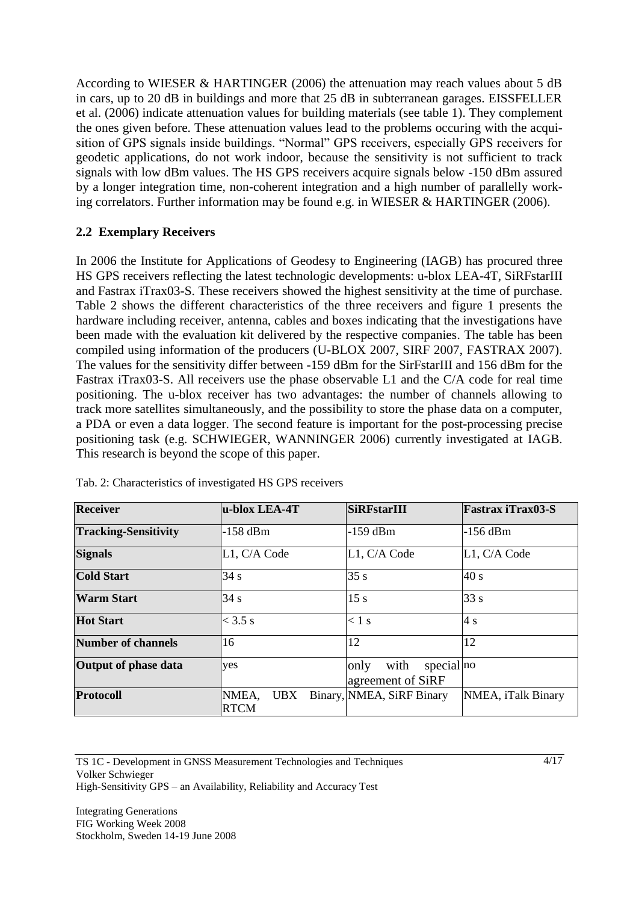According to WIESER & HARTINGER (2006) the attenuation may reach values about 5 dB in cars, up to 20 dB in buildings and more that 25 dB in subterranean garages. EISSFELLER et al. (2006) indicate attenuation values for building materials (see table 1). They complement the ones given before. These attenuation values lead to the problems occuring with the acquisition of GPS signals inside buildings. "Normal" GPS receivers, especially GPS receivers for geodetic applications, do not work indoor, because the sensitivity is not sufficient to track signals with low dBm values. The HS GPS receivers acquire signals below -150 dBm assured by a longer integration time, non-coherent integration and a high number of parallelly working correlators. Further information may be found e.g. in WIESER & HARTINGER (2006).

#### **2.2 Exemplary Receivers**

In 2006 the Institute for Applications of Geodesy to Engineering (IAGB) has procured three HS GPS receivers reflecting the latest technologic developments: u-blox LEA-4T, SiRFstarIII and Fastrax iTrax03-S. These receivers showed the highest sensitivity at the time of purchase. Table 2 shows the different characteristics of the three receivers and figure 1 presents the hardware including receiver, antenna, cables and boxes indicating that the investigations have been made with the evaluation kit delivered by the respective companies. The table has been compiled using information of the producers (U-BLOX 2007, SIRF 2007, FASTRAX 2007). The values for the sensitivity differ between -159 dBm for the SirFstarIII and 156 dBm for the Fastrax iTrax03-S. All receivers use the phase observable L1 and the C/A code for real time positioning. The u-blox receiver has two advantages: the number of channels allowing to track more satellites simultaneously, and the possibility to store the phase data on a computer, a PDA or even a data logger. The second feature is important for the post-processing precise positioning task (e.g. SCHWIEGER, WANNINGER 2006) currently investigated at IAGB. This research is beyond the scope of this paper.

| <b>Receiver</b>             | u-blox LEA-4T                      | SiRFstarIII                                     | <b>Fastrax iTrax03-S</b> |
|-----------------------------|------------------------------------|-------------------------------------------------|--------------------------|
| <b>Tracking-Sensitivity</b> | $-158$ dBm                         | $-159$ dBm                                      | $-156$ dBm               |
| <b>Signals</b>              | L1, C/A Code                       | L1, C/A Code                                    | L1, C/A Code             |
| <b>Cold Start</b>           | 34 s                               | 35s                                             | 40 s                     |
| <b>Warm Start</b>           | 34 s                               | 15s                                             | 33 s                     |
| <b>Hot Start</b>            | $<$ 3.5 s                          | $< 1$ s                                         | 4s                       |
| <b>Number of channels</b>   | 16                                 | 12                                              | 12                       |
| Output of phase data        | yes                                | special no<br>with<br>only<br>agreement of SiRF |                          |
| <b>Protocoll</b>            | <b>UBX</b><br>NMEA,<br><b>RTCM</b> | Binary, NMEA, SiRF Binary                       | NMEA, iTalk Binary       |

Tab. 2: Characteristics of investigated HS GPS receivers

TS 1C - Development in GNSS Measurement Technologies and Techniques Volker Schwieger High-Sensitivity GPS – an Availability, Reliability and Accuracy Test

Integrating Generations FIG Working Week 2008 Stockholm, Sweden 14-19 June 2008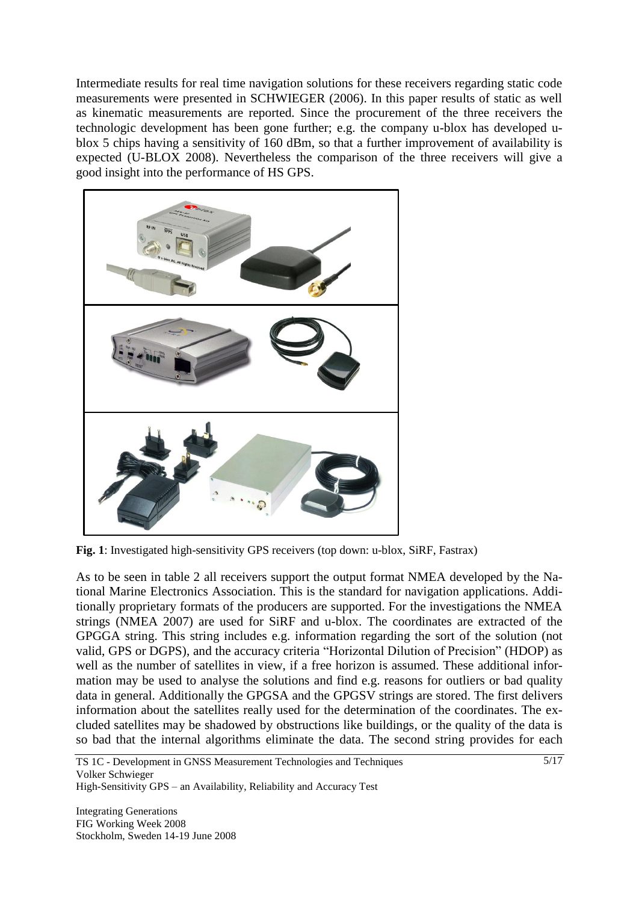Intermediate results for real time navigation solutions for these receivers regarding static code measurements were presented in SCHWIEGER (2006). In this paper results of static as well as kinematic measurements are reported. Since the procurement of the three receivers the technologic development has been gone further; e.g. the company u-blox has developed ublox 5 chips having a sensitivity of 160 dBm, so that a further improvement of availability is expected (U-BLOX 2008). Nevertheless the comparison of the three receivers will give a good insight into the performance of HS GPS.



**Fig. 1**: Investigated high-sensitivity GPS receivers (top down: u-blox, SiRF, Fastrax)

As to be seen in table 2 all receivers support the output format NMEA developed by the National Marine Electronics Association. This is the standard for navigation applications. Additionally proprietary formats of the producers are supported. For the investigations the NMEA strings (NMEA 2007) are used for SiRF and u-blox. The coordinates are extracted of the GPGGA string. This string includes e.g. information regarding the sort of the solution (not valid, GPS or DGPS), and the accuracy criteria "Horizontal Dilution of Precision" (HDOP) as well as the number of satellites in view, if a free horizon is assumed. These additional information may be used to analyse the solutions and find e.g. reasons for outliers or bad quality data in general. Additionally the GPGSA and the GPGSV strings are stored. The first delivers information about the satellites really used for the determination of the coordinates. The excluded satellites may be shadowed by obstructions like buildings, or the quality of the data is so bad that the internal algorithms eliminate the data. The second string provides for each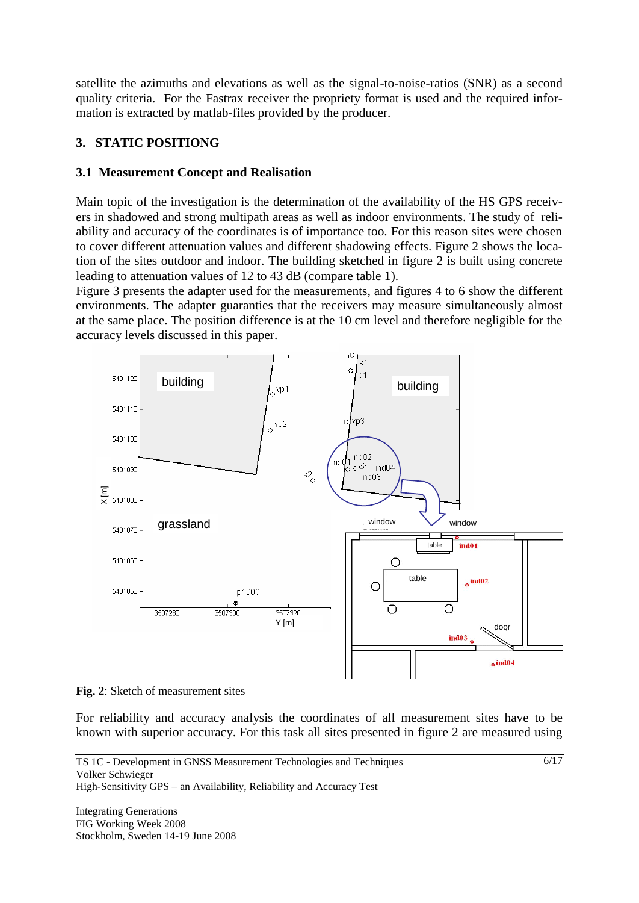satellite the azimuths and elevations as well as the signal-to-noise-ratios (SNR) as a second quality criteria. For the Fastrax receiver the propriety format is used and the required information is extracted by matlab-files provided by the producer.

## **3. STATIC POSITIONG**

## **3.1 Measurement Concept and Realisation**

Main topic of the investigation is the determination of the availability of the HS GPS receivers in shadowed and strong multipath areas as well as indoor environments. The study of reliability and accuracy of the coordinates is of importance too. For this reason sites were chosen to cover different attenuation values and different shadowing effects. Figure 2 shows the location of the sites outdoor and indoor. The building sketched in figure 2 is built using concrete leading to attenuation values of 12 to 43 dB (compare table 1).

Figure 3 presents the adapter used for the measurements, and figures 4 to 6 show the different environments. The adapter guaranties that the receivers may measure simultaneously almost at the same place. The position difference is at the 10 cm level and therefore negligible for the accuracy levels discussed in this paper.



**Fig. 2**: Sketch of measurement sites

For reliability and accuracy analysis the coordinates of all measurement sites have to be known with superior accuracy. For this task all sites presented in figure 2 are measured using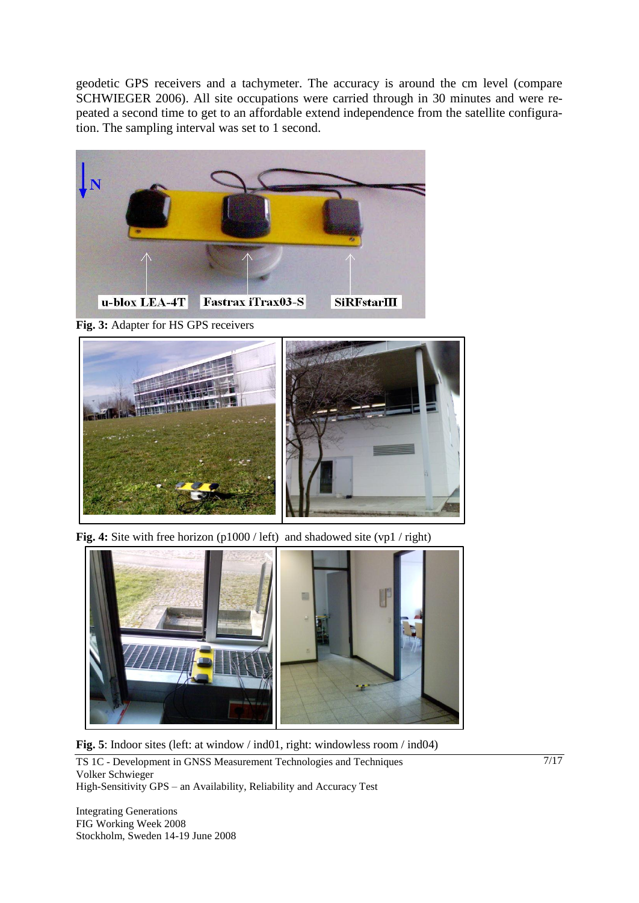geodetic GPS receivers and a tachymeter. The accuracy is around the cm level (compare SCHWIEGER 2006). All site occupations were carried through in 30 minutes and were repeated a second time to get to an affordable extend independence from the satellite configuration. The sampling interval was set to 1 second.



**Fig. 3:** Adapter for HS GPS receivers



**Fig. 4:** Site with free horizon (p1000 / left) and shadowed site (vp1 / right)



**Fig. 5**: Indoor sites (left: at window / ind01, right: windowless room / ind04)

TS 1C - Development in GNSS Measurement Technologies and Techniques Volker Schwieger High-Sensitivity GPS – an Availability, Reliability and Accuracy Test

Integrating Generations FIG Working Week 2008 Stockholm, Sweden 14-19 June 2008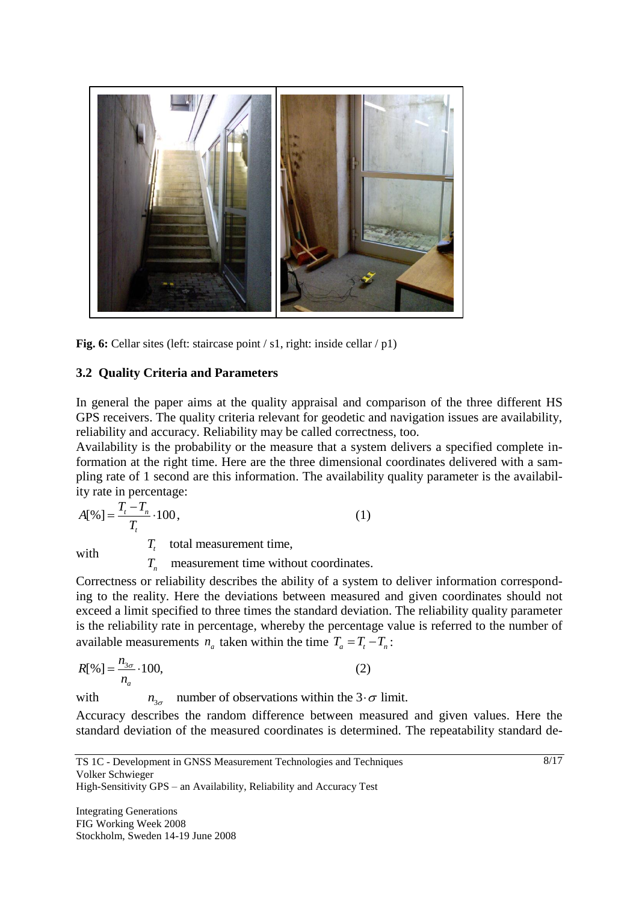

**Fig. 6:** Cellar sites (left: staircase point / s1, right: inside cellar / p1)

# **3.2 Quality Criteria and Parameters**

In general the paper aims at the quality appraisal and comparison of the three different HS GPS receivers. The quality criteria relevant for geodetic and navigation issues are availability, reliability and accuracy. Reliability may be called correctness, too.

Availability is the probability or the measure that a system delivers a specified complete information at the right time. Here are the three dimensional coordinates delivered with a sampling rate of 1 second are this information. The availability quality parameter is the availability rate in percentage:

$$
A[%] = \frac{T_t - T_n}{T_t} \cdot 100,
$$
  
with 
$$
T_t
$$
 total measurement time,

 $T_n$  measurement time without coordinates.

Correctness or reliability describes the ability of a system to deliver information corresponding to the reality. Here the deviations between measured and given coordinates should not exceed a limit specified to three times the standard deviation. The reliability quality parameter is the reliability rate in percentage, whereby the percentage value is referred to the number of available measurements  $n_a$  taken within the time  $T_a = T_t - T_n$ :

$$
R[\%] = \frac{n_{3\sigma}}{n_a} \cdot 100,
$$
 (2)  
with  $n_{3\sigma}$  number of observations within the 3 ·  $\sigma$  limit.

with

Accuracy describes the random difference between measured and given values. Here the standard deviation of the measured coordinates is determined. The repeatability standard de-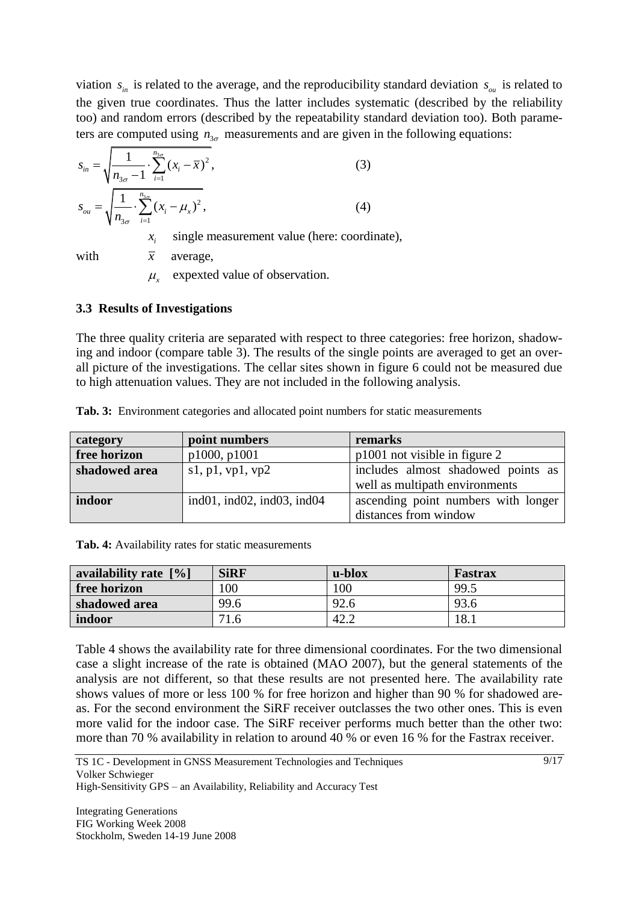viation  $s_{in}$  is related to the average, and the reproducibility standard deviation  $s_{ou}$  is related to the given true coordinates. Thus the latter includes systematic (described by the reliability too) and random errors (described by the repeatability standard deviation too). Both parameters are computed using  $n_{3\sigma}$  measurements and are given in the following equations:

$$
s_{in} = \sqrt{\frac{1}{n_{3\sigma} - 1} \cdot \sum_{i=1}^{n_{3\sigma}} (x_i - \overline{x})^2},
$$
\n
$$
s_{ou} = \sqrt{\frac{1}{n_{3\sigma}} \cdot \sum_{i=1}^{n_{3\sigma}} (x_i - \mu_x)^2},
$$
\n
$$
x_i \quad \text{single measurement value (here: coordinate)}
$$
\n
$$
(4)
$$

single measurement value (here: coordinate),

with

expexted value of observation.  $\mu_{\mathbf{x}}$ 

average,

#### **3.3 Results of Investigations**

*x*

The three quality criteria are separated with respect to three categories: free horizon, shadowing and indoor (compare table 3). The results of the single points are averaged to get an overall picture of the investigations. The cellar sites shown in figure 6 could not be measured due to high attenuation values. They are not included in the following analysis.

| category      | point numbers                             | remarks                             |  |
|---------------|-------------------------------------------|-------------------------------------|--|
| free horizon  | p1000, p1001                              | p1001 not visible in figure 2       |  |
| shadowed area | s1, p1, vp1, vp2                          | includes almost shadowed points as  |  |
|               |                                           | well as multipath environments      |  |
| indoor        | ind $01$ , ind $02$ , ind $03$ , ind $04$ | ascending point numbers with longer |  |
|               |                                           | distances from window               |  |

**Tab. 3:** Environment categories and allocated point numbers for static measurements

**Tab. 4:** Availability rates for static measurements

| availability rate $\lceil\% \rceil$ | <b>SiRF</b> | u-blox | Fastrax |
|-------------------------------------|-------------|--------|---------|
| free horizon                        | 100         | 100    | 99.5    |
| shadowed area                       | 99.6        | 92.6   | 93.6    |
| indoor                              | 71.6        | 42.2   | 18.1    |

Table 4 shows the availability rate for three dimensional coordinates. For the two dimensional case a slight increase of the rate is obtained (MAO 2007), but the general statements of the analysis are not different, so that these results are not presented here. The availability rate shows values of more or less 100 % for free horizon and higher than 90 % for shadowed areas. For the second environment the SiRF receiver outclasses the two other ones. This is even more valid for the indoor case. The SiRF receiver performs much better than the other two: more than 70 % availability in relation to around 40 % or even 16 % for the Fastrax receiver.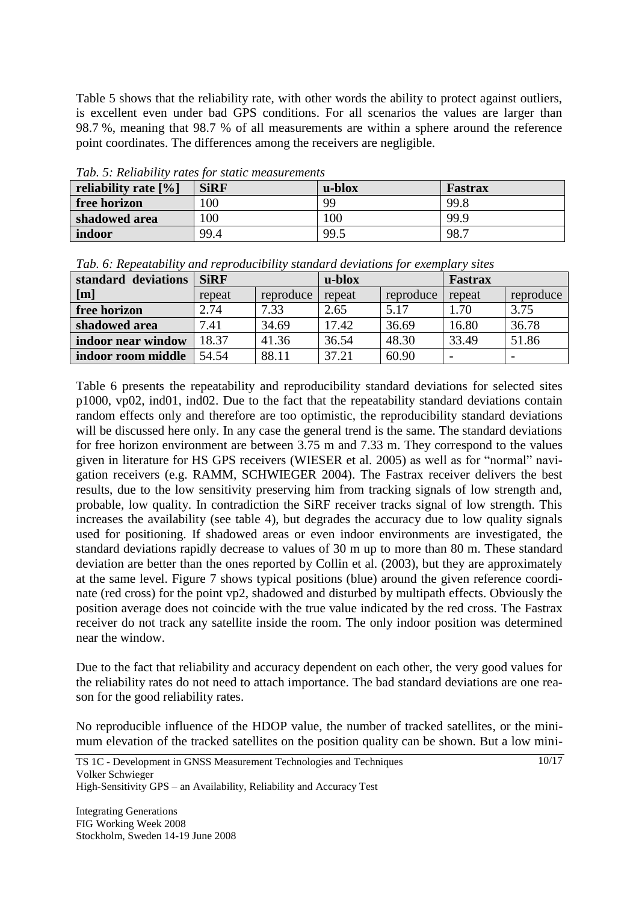Table 5 shows that the reliability rate, with other words the ability to protect against outliers, is excellent even under bad GPS conditions. For all scenarios the values are larger than 98.7 %, meaning that 98.7 % of all measurements are within a sphere around the reference point coordinates. The differences among the receivers are negligible.

| A VIV I DI ALVIIIVIV IIII I VIIVU IVI DIVIIIV IIIVUVIJIII VIIIVIIIV |             |        |         |  |
|---------------------------------------------------------------------|-------------|--------|---------|--|
| reliability rate $[%]$                                              | <b>SiRF</b> | u-blox | Fastrax |  |
| free horizon                                                        | 100         | 99     | 99.8    |  |
| shadowed area                                                       | 100         | 00     | 99.9    |  |
| indoor                                                              | 99.4        | 99.5   | 98.7    |  |

*Tab. 5: Reliability rates for static measurements*

| standard deviations R:DE | $\mathbf{L}$ $\mathbf{L}$                                                         | $\Gamma$ <sub>c</sub> $\alpha$ + $\alpha$ - $\alpha$ |
|--------------------------|-----------------------------------------------------------------------------------|------------------------------------------------------|
|                          | Tab. 6: Repeatability and reproducibility standard deviations for exemplary sites |                                                      |

| standard deviations | <b>SiRF</b> |           | u-blox |           | Fastrax |                          |
|---------------------|-------------|-----------|--------|-----------|---------|--------------------------|
| [m]                 | repeat      | reproduce | repeat | reproduce | repeat  | reproduce                |
| free horizon        | 2.74        | 7.33      | 2.65   | 5.17      | 1.70    | 3.75                     |
| shadowed area       | 7.41        | 34.69     | 17.42  | 36.69     | 16.80   | 36.78                    |
| indoor near window  | 18.37       | 41.36     | 36.54  | 48.30     | 33.49   | 51.86                    |
| indoor room middle  | 54.54       | 88.11     | 37.21  | 60.90     |         | $\overline{\phantom{a}}$ |

Table 6 presents the repeatability and reproducibility standard deviations for selected sites p1000, vp02, ind01, ind02. Due to the fact that the repeatability standard deviations contain random effects only and therefore are too optimistic, the reproducibility standard deviations will be discussed here only. In any case the general trend is the same. The standard deviations for free horizon environment are between 3.75 m and 7.33 m. They correspond to the values given in literature for HS GPS receivers (WIESER et al. 2005) as well as for "normal" navigation receivers (e.g. RAMM, SCHWIEGER 2004). The Fastrax receiver delivers the best results, due to the low sensitivity preserving him from tracking signals of low strength and, probable, low quality. In contradiction the SiRF receiver tracks signal of low strength. This increases the availability (see table 4), but degrades the accuracy due to low quality signals used for positioning. If shadowed areas or even indoor environments are investigated, the standard deviations rapidly decrease to values of 30 m up to more than 80 m. These standard deviation are better than the ones reported by Collin et al. (2003), but they are approximately at the same level. Figure 7 shows typical positions (blue) around the given reference coordinate (red cross) for the point vp2, shadowed and disturbed by multipath effects. Obviously the position average does not coincide with the true value indicated by the red cross. The Fastrax receiver do not track any satellite inside the room. The only indoor position was determined near the window.

Due to the fact that reliability and accuracy dependent on each other, the very good values for the reliability rates do not need to attach importance. The bad standard deviations are one reason for the good reliability rates.

No reproducible influence of the HDOP value, the number of tracked satellites, or the minimum elevation of the tracked satellites on the position quality can be shown. But a low mini-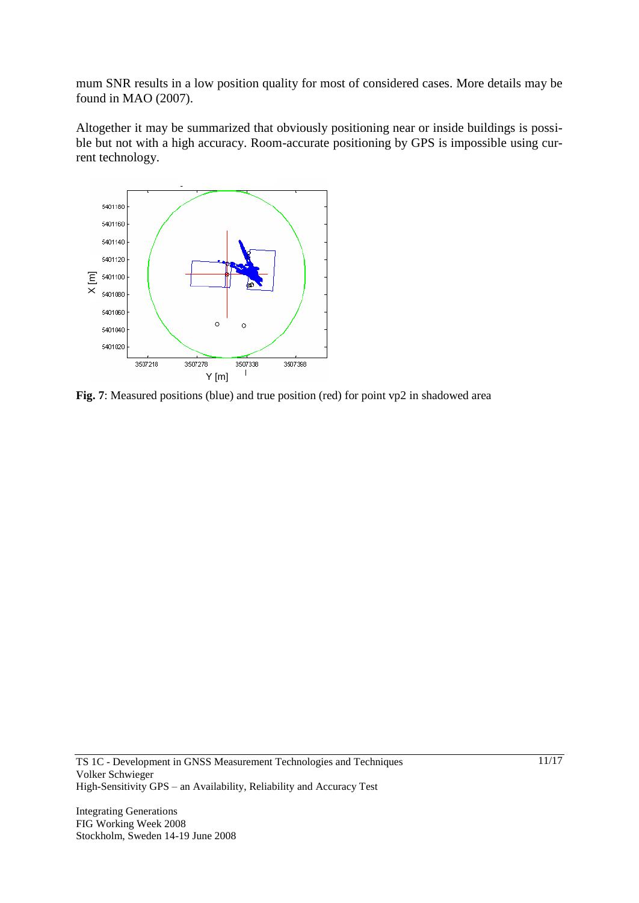mum SNR results in a low position quality for most of considered cases. More details may be found in MAO (2007).

Altogether it may be summarized that obviously positioning near or inside buildings is possible but not with a high accuracy. Room-accurate positioning by GPS is impossible using current technology.



**Fig. 7**: Measured positions (blue) and true position (red) for point vp2 in shadowed area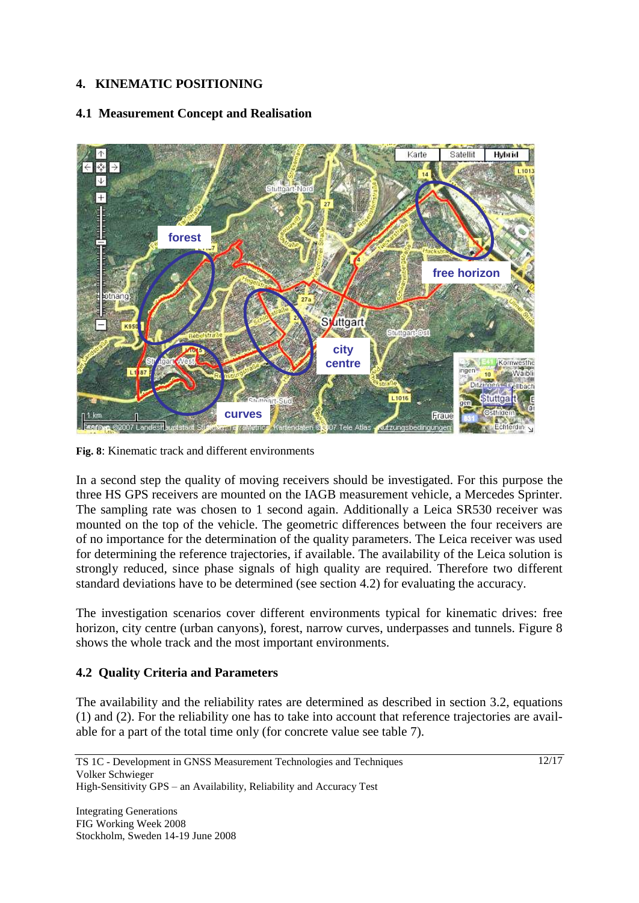# **4. KINEMATIC POSITIONING**

## **4.1 Measurement Concept and Realisation**



**Fig. 8**: Kinematic track and different environments

In a second step the quality of moving receivers should be investigated. For this purpose the three HS GPS receivers are mounted on the IAGB measurement vehicle, a Mercedes Sprinter. The sampling rate was chosen to 1 second again. Additionally a Leica SR530 receiver was mounted on the top of the vehicle. The geometric differences between the four receivers are of no importance for the determination of the quality parameters. The Leica receiver was used for determining the reference trajectories, if available. The availability of the Leica solution is strongly reduced, since phase signals of high quality are required. Therefore two different standard deviations have to be determined (see section 4.2) for evaluating the accuracy.

The investigation scenarios cover different environments typical for kinematic drives: free horizon, city centre (urban canyons), forest, narrow curves, underpasses and tunnels. Figure 8 shows the whole track and the most important environments.

# **4.2 Quality Criteria and Parameters**

The availability and the reliability rates are determined as described in section 3.2, equations (1) and (2). For the reliability one has to take into account that reference trajectories are available for a part of the total time only (for concrete value see table 7).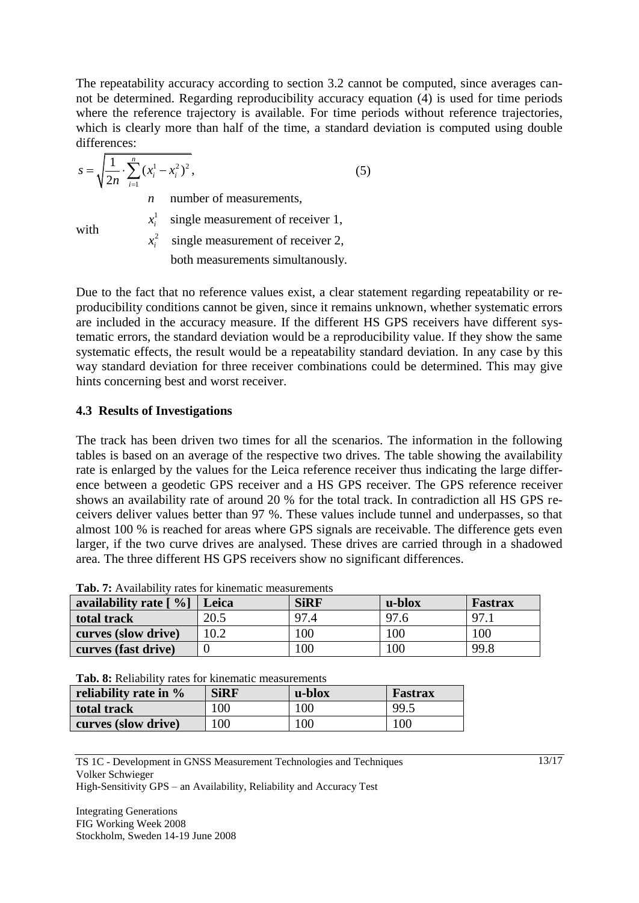The repeatability accuracy according to section 3.2 cannot be computed, since averages cannot be determined. Regarding reproducibility accuracy equation (4) is used for time periods where the reference trajectory is available. For time periods without reference trajectories, which is clearly more than half of the time, a standard deviation is computed using double differences:

$$
s = \sqrt{\frac{1}{2n} \cdot \sum_{i=1}^{n} (x_i^1 - x_i^2)^2},
$$
  
\n*n* number of measurements, (5)

with

single measurement of receiver 1,

 $x_i^2$  single measurement of receiver 2,

both measurements simultanously.

Due to the fact that no reference values exist, a clear statement regarding repeatability or reproducibility conditions cannot be given, since it remains unknown, whether systematic errors are included in the accuracy measure. If the different HS GPS receivers have different systematic errors, the standard deviation would be a reproducibility value. If they show the same systematic effects, the result would be a repeatability standard deviation. In any case by this way standard deviation for three receiver combinations could be determined. This may give hints concerning best and worst receiver.

# **4.3 Results of Investigations**

1

 $x_i^{\perp}$ 

The track has been driven two times for all the scenarios. The information in the following tables is based on an average of the respective two drives. The table showing the availability rate is enlarged by the values for the Leica reference receiver thus indicating the large difference between a geodetic GPS receiver and a HS GPS receiver. The GPS reference receiver shows an availability rate of around 20 % for the total track. In contradiction all HS GPS receivers deliver values better than 97 %. These values include tunnel and underpasses, so that almost 100 % is reached for areas where GPS signals are receivable. The difference gets even larger, if the two curve drives are analysed. These drives are carried through in a shadowed area. The three different HS GPS receivers show no significant differences.

| availability rate $\lceil \frac{9}{6} \rceil$ Leica |      | <b>SiRF</b> | u-blox | Fastrax |
|-----------------------------------------------------|------|-------------|--------|---------|
| total track                                         | 20.5 | 97.4        | 97.6   | 97.     |
| curves (slow drive)                                 | 10.2 | 100         | 100    | 100     |
| curves (fast drive)                                 |      | 100         | 100    | 99.8    |

**Tab. 7:** Availability rates for kinematic measurements

**Tab. 8:** Reliability rates for kinematic measurements

| reliability rate in $\%$ | <b>SiRF</b> | u-blox | <b>Fastrax</b> |
|--------------------------|-------------|--------|----------------|
| total track              | 100         | 100    | 99.5           |
| curves (slow drive)      | 100         | 100    | 100            |

TS 1C - Development in GNSS Measurement Technologies and Techniques Volker Schwieger High-Sensitivity GPS – an Availability, Reliability and Accuracy Test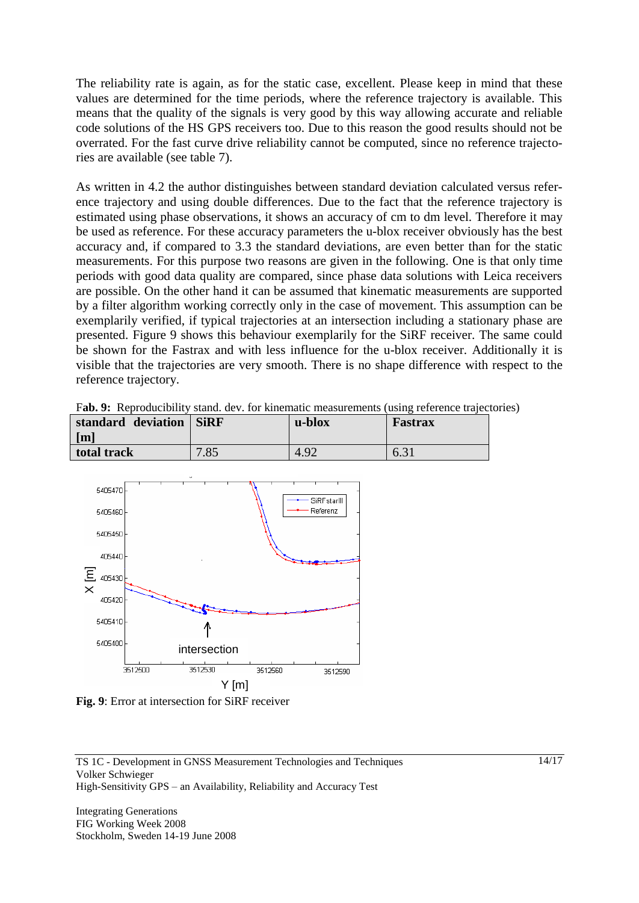The reliability rate is again, as for the static case, excellent. Please keep in mind that these values are determined for the time periods, where the reference trajectory is available. This means that the quality of the signals is very good by this way allowing accurate and reliable code solutions of the HS GPS receivers too. Due to this reason the good results should not be overrated. For the fast curve drive reliability cannot be computed, since no reference trajectories are available (see table 7).

As written in 4.2 the author distinguishes between standard deviation calculated versus reference trajectory and using double differences. Due to the fact that the reference trajectory is estimated using phase observations, it shows an accuracy of cm to dm level. Therefore it may be used as reference. For these accuracy parameters the u-blox receiver obviously has the best accuracy and, if compared to 3.3 the standard deviations, are even better than for the static measurements. For this purpose two reasons are given in the following. One is that only time periods with good data quality are compared, since phase data solutions with Leica receivers are possible. On the other hand it can be assumed that kinematic measurements are supported by a filter algorithm working correctly only in the case of movement. This assumption can be exemplarily verified, if typical trajectories at an intersection including a stationary phase are presented. Figure 9 shows this behaviour exemplarily for the SiRF receiver. The same could be shown for the Fastrax and with less influence for the u-blox receiver. Additionally it is visible that the trajectories are very smooth. There is no shape difference with respect to the reference trajectory.

| Fab. 9: Reproducibility stand. dev. for kinematic measurements (using reference trajectories) |                   |      |      |  |
|-----------------------------------------------------------------------------------------------|-------------------|------|------|--|
| standard deviation SiRF                                                                       | u-blox<br>Fastrax |      |      |  |
| $\lceil m \rceil$                                                                             |                   |      |      |  |
| total track                                                                                   | 7.85              | 4.92 | 6.31 |  |



**Fig. 9**: Error at intersection for SiRF receiver

TS 1C - Development in GNSS Measurement Technologies and Techniques Volker Schwieger High-Sensitivity GPS – an Availability, Reliability and Accuracy Test

Integrating Generations FIG Working Week 2008 Stockholm, Sweden 14-19 June 2008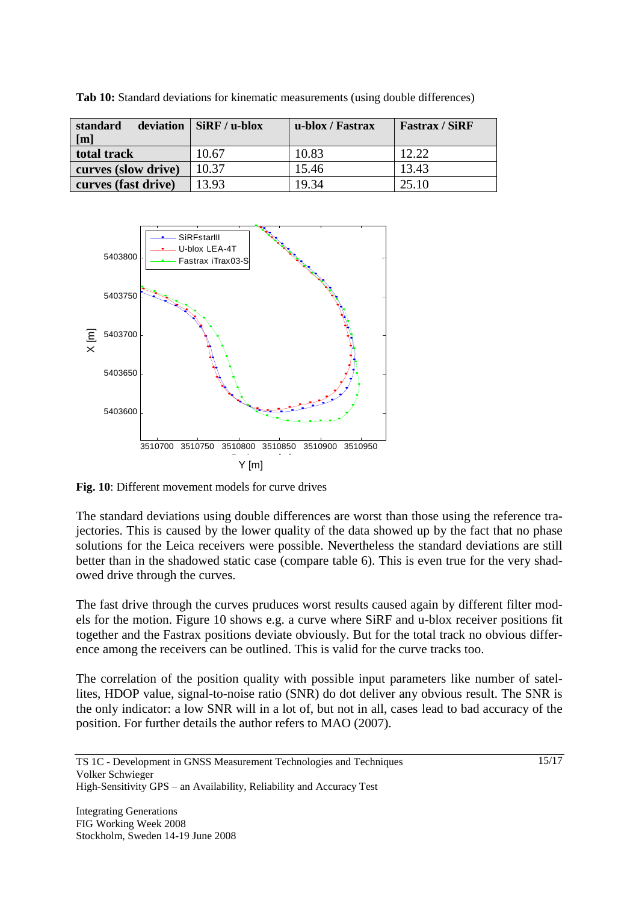| standard<br>[m]     | deviation $\vert$ SiRF / u-blox | u-blox / Fastrax | <b>Fastrax / SiRF</b> |
|---------------------|---------------------------------|------------------|-----------------------|
| total track         | 10.67                           | 10.83            | 12.22                 |
| curves (slow drive) | 10.37                           | 15.46            | 13.43                 |
| curves (fast drive) | 13.93                           | 19.34            | 25.10                 |

**Tab 10:** Standard deviations for kinematic measurements (using double differences)



**Fig. 10**: Different movement models for curve drives

The standard deviations using double differences are worst than those using the reference trajectories. This is caused by the lower quality of the data showed up by the fact that no phase solutions for the Leica receivers were possible. Nevertheless the standard deviations are still better than in the shadowed static case (compare table 6). This is even true for the very shadowed drive through the curves.

The fast drive through the curves pruduces worst results caused again by different filter models for the motion. Figure 10 shows e.g. a curve where SiRF and u-blox receiver positions fit together and the Fastrax positions deviate obviously. But for the total track no obvious difference among the receivers can be outlined. This is valid for the curve tracks too.

The correlation of the position quality with possible input parameters like number of satellites, HDOP value, signal-to-noise ratio (SNR) do dot deliver any obvious result. The SNR is the only indicator: a low SNR will in a lot of, but not in all, cases lead to bad accuracy of the position. For further details the author refers to MAO (2007).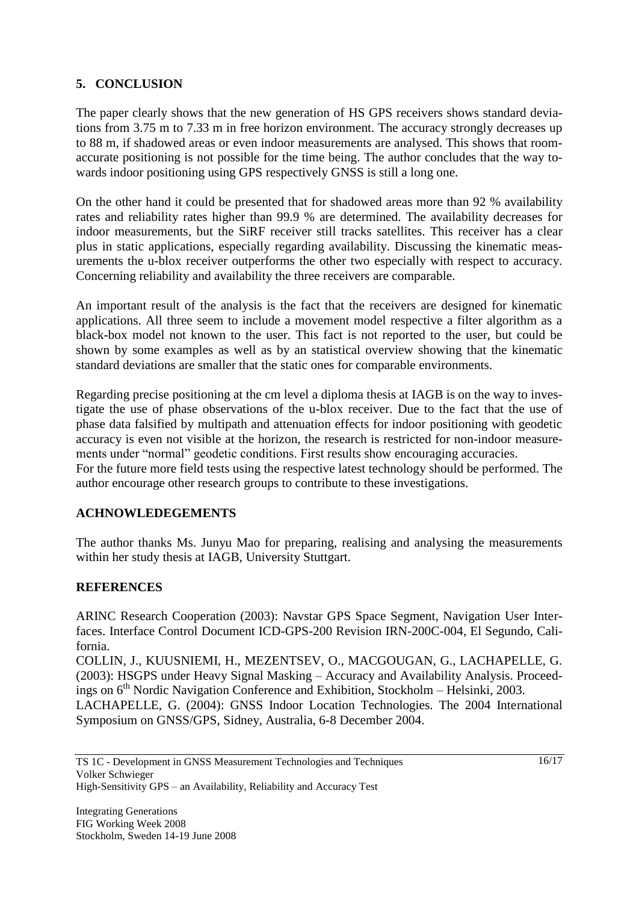# **5. CONCLUSION**

The paper clearly shows that the new generation of HS GPS receivers shows standard deviations from 3.75 m to 7.33 m in free horizon environment. The accuracy strongly decreases up to 88 m, if shadowed areas or even indoor measurements are analysed. This shows that roomaccurate positioning is not possible for the time being. The author concludes that the way towards indoor positioning using GPS respectively GNSS is still a long one.

On the other hand it could be presented that for shadowed areas more than 92 % availability rates and reliability rates higher than 99.9 % are determined. The availability decreases for indoor measurements, but the SiRF receiver still tracks satellites. This receiver has a clear plus in static applications, especially regarding availability. Discussing the kinematic measurements the u-blox receiver outperforms the other two especially with respect to accuracy. Concerning reliability and availability the three receivers are comparable.

An important result of the analysis is the fact that the receivers are designed for kinematic applications. All three seem to include a movement model respective a filter algorithm as a black-box model not known to the user. This fact is not reported to the user, but could be shown by some examples as well as by an statistical overview showing that the kinematic standard deviations are smaller that the static ones for comparable environments.

Regarding precise positioning at the cm level a diploma thesis at IAGB is on the way to investigate the use of phase observations of the u-blox receiver. Due to the fact that the use of phase data falsified by multipath and attenuation effects for indoor positioning with geodetic accuracy is even not visible at the horizon, the research is restricted for non-indoor measurements under "normal" geodetic conditions. First results show encouraging accuracies. For the future more field tests using the respective latest technology should be performed. The author encourage other research groups to contribute to these investigations.

#### **ACHNOWLEDEGEMENTS**

The author thanks Ms. Junyu Mao for preparing, realising and analysing the measurements within her study thesis at IAGB, University Stuttgart.

#### **REFERENCES**

ARINC Research Cooperation (2003): Navstar GPS Space Segment, Navigation User Interfaces. Interface Control Document ICD-GPS-200 Revision IRN-200C-004, El Segundo, California.

COLLIN, J., KUUSNIEMI, H., MEZENTSEV, O., MACGOUGAN, G., LACHAPELLE, G. (2003): HSGPS under Heavy Signal Masking – Accuracy and Availability Analysis. Proceedings on  $6<sup>th</sup>$  Nordic Navigation Conference and Exhibition, Stockholm – Helsinki, 2003.

LACHAPELLE, G. (2004): GNSS Indoor Location Technologies. The 2004 International Symposium on GNSS/GPS, Sidney, Australia, 6-8 December 2004.